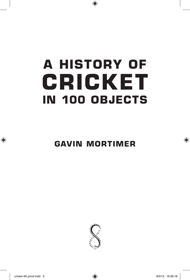# **A HISTORY OF CRICKET IN 100 OBJECTS**

**GAVIN MORTIMER**

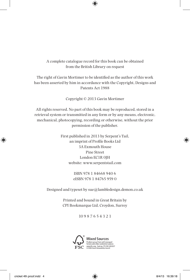#### A complete catalogue record for this book can be obtained from the British Library on request

#### The right of Gavin Mortimer to be identified as the author of this work has been asserted by him in accordance with the Copyright, Designs and Patents Act 1988

Copyright © 2013 Gavin Mortimer

All rights reserved. No part of this book may be reproduced, stored in a retrieval system or transmitted in any form or by any means, electronic, mechanical, photocopying, recording or otherwise, without the prior permission of the publisher.

> First published in 2013 by Serpent's Tail, an imprint of Profile Books Ltd 3A Exmouth House Pine Street London EC1R 0JH website: www.serpentstail.com

> > ISBN 978 1 84668 940 6 eISBN 978 1 84765 959 0

Designed and typeset by sue@lambledesign.demon.co.uk

Printed and bound in Great Britain by CPI Bookmarque Ltd, Croydon, Surrey

10 9 8 7 6 5 4 3 2 1

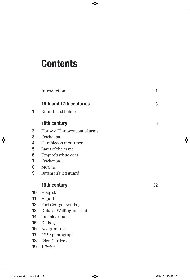# **Contents**

|                 | Introduction                  | 1  |
|-----------------|-------------------------------|----|
|                 | 16th and 17th centuries       | 3  |
| 1               | Roundhead helmet              |    |
|                 | 18th century                  | 6  |
| 2               | House of Hanover coat of arms |    |
| 3               | Cricket bat                   |    |
| 4               | Hambledon monument            |    |
| 5               | Laws of the game              |    |
| 6               | Umpire's white coat           |    |
| 7               | Cricket ball                  |    |
| 8               | MCC tie                       |    |
| 9               | Batsman's leg guard           |    |
|                 | 19th century                  | 32 |
| 10 <sup>1</sup> | Hoop skirt                    |    |
| 11              | A quill                       |    |
| $12 \,$         | Fort George, Bombay           |    |
| 13              | Duke of Wellington's hat      |    |
| 14              | Tall black hat                |    |
| 15              | Kit bag                       |    |
| 16              | Redgum tree                   |    |
| 17              | 1859 photograph               |    |
| 18              | Eden Gardens                  |    |
| 19              | Wisden                        |    |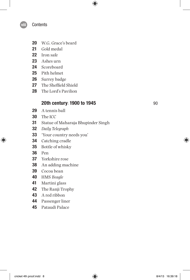#### **Contents**

- W.G. Grace's beard
- Gold medal
- Iron safe
- Ashes urn
- Scoreboard
- Pith helmet
- Surrey badge
- The Sheffield Shield
- The Lord's Pavilion

### **20th century: 1900 to 1945** 90

- A tennis ball
- The ICC
- Statue of Maharaja Bhupinder Singh
- *Daily Telegraph*
- 'Your country needs you'
- Catching cradle
- Bottle of whisky
- Pen
- Yorkshire rose
- An adding machine
- Cocoa bean
- HMS *Beagle*
- Martini glass
- The Ranji Trophy
- A red ribbon
- Passenger liner
- Pataudi Palace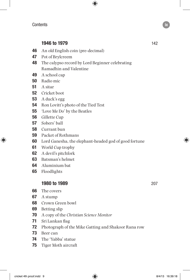## **1946 to 1979** 142

- An old English coin (pre-decimal)
- Pot of Brylcreem
- The calypso record by Lord Beginner celebrating Ramadhin and Valentine
- A school cap
- Radio mic
- A sitar
- Cricket boot
- A duck's egg
- Ron Lovitt's photo of the Tied Test
- 'Love Me Do' by the Beatles
- Gillette Cup
- Sobers' ball
- Currant bun
- Packet of Rothmans
- Lord Ganesha, the elephant-headed god of good fortune
- World Cup trophy
- A devil's pitchfork
- Batsman's helmet
- Aluminium bat
- Floodlights

#### **1980 to 1989** 207

- The covers
- A stump
- Crown Green bowl
- Betting slip
- A copy of the *Christian Science Monitor*
- Sri Lankan flag
- Photograph of the Mike Gatting and Shakoor Rana row
- Beer can
- The 'Yabba' statue
- Tiger Moth aircraft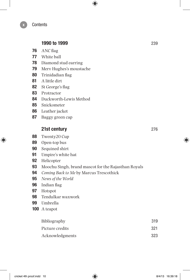### **1990 to 1999** 239

- ANC flag
- White ball
- Diamond stud earring
- Merv Hughes's moustache
- Trinidadian flag
- A little dirt
- St George's flag
- Protractor
- Duckworth-Lewis Method
- Snickometer
- Leather jacket
- Baggy green cap

### **21st century** 276

- Twenty20 Cup
- Open-top bus
- Sequined shirt
- Umpire's white hat
- Helicopter
- Moochu Singh, brand mascot for the Rajasthan Royals
- *Coming Back to Me* by Marcus Trescothick
- *News of the World*
- Indian flag
- Hotspot
- Tendulkar waxwork
- Umbrella
- A teapot

| Bibliography    | 319 |
|-----------------|-----|
| Picture credits | 321 |
| Acknowledgments | 323 |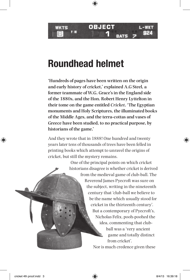**OBJECT**

**1**

# **Roundhead helmet**

WKTS

**'Hundreds of pages have been written on the origin and early history of cricket,' explained A.G Steel, a former teammate of W.G. Grace's in the England side of the 1880s, and the Hon. Robert Henry Lyttelton in their tome on the game entitled** *Cricket***. 'The Egyptian monuments and Holy Scriptures, the illuminated books of the Middle Ages, and the terra-cottas and vases of Greece have been studied, to no practical purpose, by historians of the game.'**

And they wrote that in 1888! One hundred and twenty years later tens of thousands of trees have been felled in printing books which attempt to unravel the origins of cricket, but still the mystery remains.

> One of the principal points on which cricket historians disagree is whether cricket is derived from the medieval game of club-ball. The Reverend James Pyecroft was sure on the subject, writing in the nineteenth century that 'club-ball we believe to be the name which usually stood for cricket in the thirteenth century'. But a contemporary of Pyecroft's, Nicholas Felix, pooh-poohed the idea, commenting that clubball was a 'very ancient game and totally distinct from cricket'. Nor is much credence given these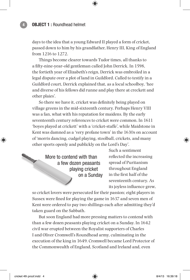days to the idea that a young Edward II played a form of cricket, passed down to him by his grandfather, Henry III, King of England from 1216 to 1272.

Things become clearer towards Tudor times, all thanks to a fifty-nine-year-old gentleman called John Derrick. In 1598, the fortieth year of Elizabeth's reign, Derrick was embroiled in a legal dispute over a plot of land in Guildford. Called to testify in a Guildford court, Derrick explained that, as a local schoolboy, 'hee and diverse of his fellows did runne and play there at creckett and other plaies'.

So there we have it, cricket was definitely being played on village greens in the mid-sixteenth century. Perhaps Henry VIII was a fan, what with his reputation for maidens. By the early seventeenth century references to cricket were common. In 1611 'boyes played at crickett' with a 'cricket-staffe', while Maidstone in Kent was damned as a 'very profane town' in the 1630s on account of 'morris dancing, cudgel playing, stoolball, crickets, and many other sports openly and publickly on the Lord's Day'.

> More to contend with than a few dozen peasants playing cricket on a Sunday

Such a sentiment reflected the increasing spread of Puritanism throughout England in the first half of the seventeenth century. As its joyless influence grew,

so cricket lovers were persecuted for their passion; eight players in Sussex were fined for playing the game in 1637 and seven men of Kent were ordered to pay two shillings each after admitting they'd taken guard on the Sabbath.

But soon England had more pressing matters to contend with than a few dozen peasants playing cricket on a Sunday. In 1642 civil war erupted between the Royalist supporters of Charles I and Oliver Cromwell's Roundhead army, culminating in the execution of the king in 1649. Cromwell became Lord Protector of the Commonwealth of England, Scotland and Ireland and, even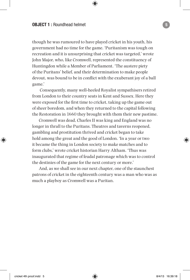though he was rumoured to have played cricket in his youth, his government had no time for the game. 'Puritanism was tough on recreation and it is unsurprising that cricket was targeted,' wrote John Major, who, like Cromwell, represented the constituency of Huntingdon while a Member of Parliament. 'The austere piety of the Puritans' belief, and their determination to make people devout, was bound to be in conflict with the exuberant joy of a ball game.'

 Consequently, many well-heeled Royalist sympathisers retired from London to their country seats in Kent and Sussex. Here they were exposed for the first time to cricket, taking up the game out of sheer boredom, and when they returned to the capital following the Restoration in 1660 they brought with them their new pastime.

Cromwell was dead, Charles II was king and England was no longer in thrall to the Puritans. Theatres and taverns reopened, gambling and prostitution thrived and cricket began to take hold among the great and the good of London. 'In a year or two it became the thing in London society to make matches and to form clubs,' wrote cricket historian Harry Altham. 'Thus was inaugurated that regime of feudal patronage which was to control the destinies of the game for the next century or more.'

And, as we shall see in our next chapter, one of the staunchest patrons of cricket in the eighteenth century was a man who was as much a playboy as Cromwell was a Puritan.